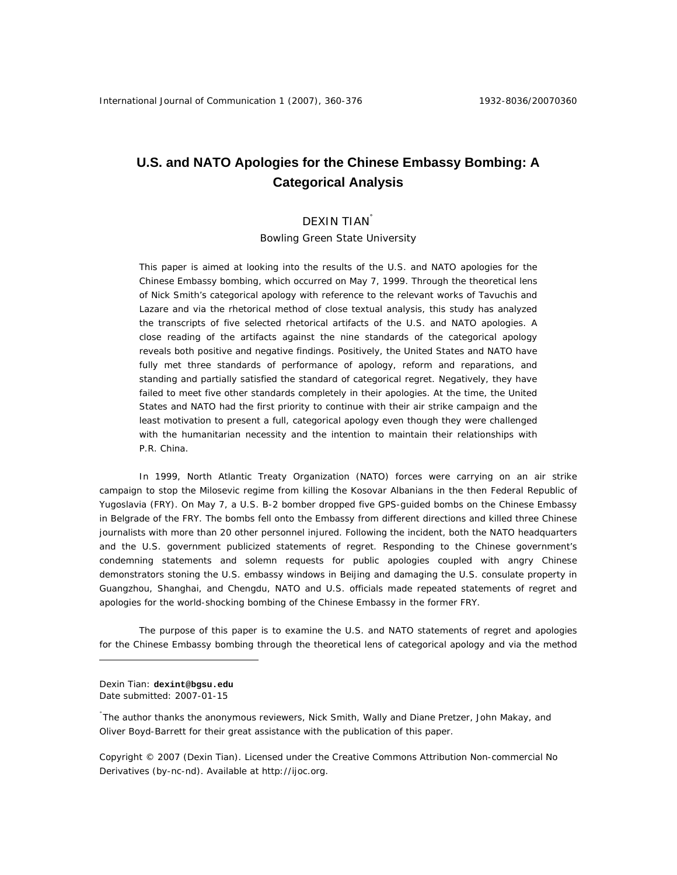# **U.S. and NATO Apologies for the Chinese Embassy Bombing: A Categorical Analysis**

## DEXIN TIAN˚

Bowling Green State University

This paper is aimed at looking into the results of the U.S. and NATO apologies for the Chinese Embassy bombing, which occurred on May 7, 1999. Through the theoretical lens of Nick Smith's categorical apology with reference to the relevant works of Tavuchis and Lazare and via the rhetorical method of close textual analysis, this study has analyzed the transcripts of five selected rhetorical artifacts of the U.S. and NATO apologies. A close reading of the artifacts against the nine standards of the categorical apology reveals both positive and negative findings. Positively, the United States and NATO have fully met three standards of performance of apology, reform and reparations, and standing and partially satisfied the standard of categorical regret. Negatively, they have failed to meet five other standards completely in their apologies. At the time, the United States and NATO had the first priority to continue with their air strike campaign and the least motivation to present a full, categorical apology even though they were challenged with the humanitarian necessity and the intention to maintain their relationships with P.R. China.

In 1999, North Atlantic Treaty Organization (NATO) forces were carrying on an air strike campaign to stop the Milosevic regime from killing the Kosovar Albanians in the then Federal Republic of Yugoslavia (FRY). On May 7, a U.S. B-2 bomber dropped five GPS-guided bombs on the Chinese Embassy in Belgrade of the FRY. The bombs fell onto the Embassy from different directions and killed three Chinese journalists with more than 20 other personnel injured. Following the incident, both the NATO headquarters and the U.S. government publicized statements of regret. Responding to the Chinese government's condemning statements and solemn requests for public apologies coupled with angry Chinese demonstrators stoning the U.S. embassy windows in Beijing and damaging the U.S. consulate property in Guangzhou, Shanghai, and Chengdu, NATO and U.S. officials made repeated statements of regret and apologies for the world-shocking bombing of the Chinese Embassy in the former FRY.

 The purpose of this paper is to examine the U.S. and NATO statements of regret and apologies for the Chinese Embassy bombing through the theoretical lens of categorical apology and via the method

Dexin Tian: **dexint@bgsu.edu**  Date submitted: 2007-01-15

 $\overline{a}$ 

˚ The author thanks the anonymous reviewers, Nick Smith, Wally and Diane Pretzer, John Makay, and Oliver Boyd-Barrett for their great assistance with the publication of this paper.

Copyright © 2007 (Dexin Tian). Licensed under the Creative Commons Attribution Non-commercial No Derivatives (by-nc-nd). Available at http://ijoc.org.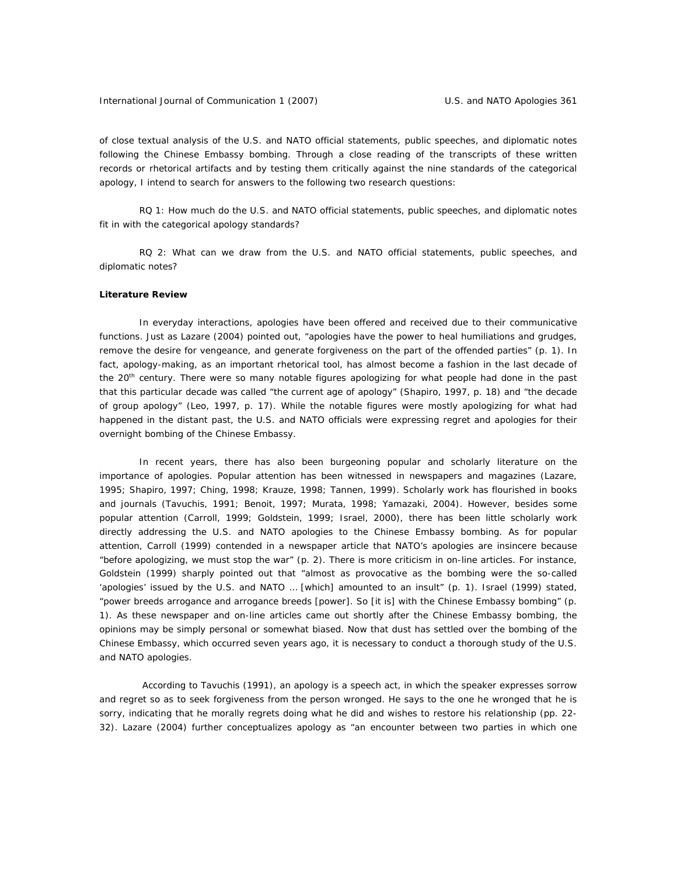of close textual analysis of the U.S. and NATO official statements, public speeches, and diplomatic notes following the Chinese Embassy bombing. Through a close reading of the transcripts of these written records or rhetorical artifacts and by testing them critically against the nine standards of the categorical apology, I intend to search for answers to the following two research questions:

RQ 1: How much do the U.S. and NATO official statements, public speeches, and diplomatic notes fit in with the categorical apology standards?

RQ 2: What can we draw from the U.S. and NATO official statements, public speeches, and diplomatic notes?

#### **Literature Review**

 In everyday interactions, apologies have been offered and received due to their communicative functions. Just as Lazare (2004) pointed out, "apologies have the power to heal humiliations and grudges, remove the desire for vengeance, and generate forgiveness on the part of the offended parties" (p. 1). In fact, apology-making, as an important rhetorical tool, has almost become a fashion in the last decade of the 20<sup>th</sup> century. There were so many notable figures apologizing for what people had done in the past that this particular decade was called "the current age of apology" (Shapiro, 1997, p. 18) and "the decade of group apology" (Leo, 1997, p. 17). While the notable figures were mostly apologizing for what had happened in the distant past, the U.S. and NATO officials were expressing regret and apologies for their overnight bombing of the Chinese Embassy.

 In recent years, there has also been burgeoning popular and scholarly literature on the importance of apologies. Popular attention has been witnessed in newspapers and magazines (Lazare, 1995; Shapiro, 1997; Ching, 1998; Krauze, 1998; Tannen, 1999). Scholarly work has flourished in books and journals (Tavuchis, 1991; Benoit, 1997; Murata, 1998; Yamazaki, 2004). However, besides some popular attention (Carroll, 1999; Goldstein, 1999; Israel, 2000), there has been little scholarly work directly addressing the U.S. and NATO apologies to the Chinese Embassy bombing. As for popular attention, Carroll (1999) contended in a newspaper article that NATO's apologies are insincere because "before apologizing, we must stop the war" (p. 2). There is more criticism in on-line articles. For instance, Goldstein (1999) sharply pointed out that "almost as provocative as the bombing were the so-called 'apologies' issued by the U.S. and NATO … [which] amounted to an insult" (p. 1). Israel (1999) stated, "power breeds arrogance and arrogance breeds [power]. So [it is] with the Chinese Embassy bombing" (p. 1). As these newspaper and on-line articles came out shortly after the Chinese Embassy bombing, the opinions may be simply personal or somewhat biased. Now that dust has settled over the bombing of the Chinese Embassy, which occurred seven years ago, it is necessary to conduct a thorough study of the U.S. and NATO apologies.

 According to Tavuchis (1991), an apology is a speech act, in which the speaker expresses sorrow and regret so as to seek forgiveness from the person wronged. He says to the one he wronged that he is sorry, indicating that he morally regrets doing what he did and wishes to restore his relationship (pp. 22- 32). Lazare (2004) further conceptualizes apology as "an encounter between two parties in which one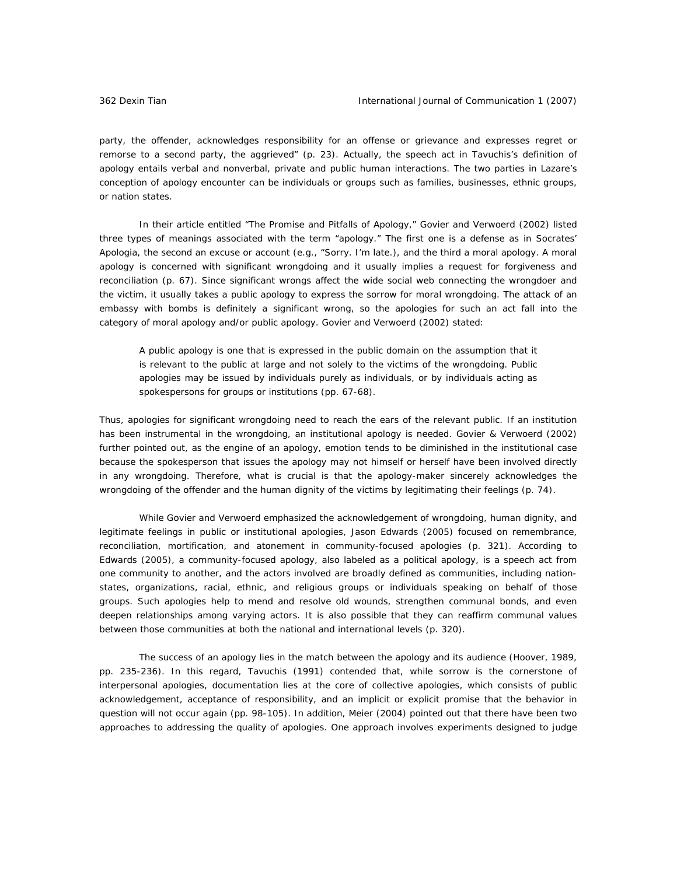party, the offender, acknowledges responsibility for an offense or grievance and expresses regret or remorse to a second party, the aggrieved" (p. 23). Actually, the speech act in Tavuchis's definition of apology entails verbal and nonverbal, private and public human interactions. The two parties in Lazare's conception of apology encounter can be individuals or groups such as families, businesses, ethnic groups, or nation states.

In their article entitled "The Promise and Pitfalls of Apology," Govier and Verwoerd (2002) listed three types of meanings associated with the term "apology." The first one is *a defense* as in Socrates' *Apologia*, the second *an excuse* or *account* (e.g., "Sorry. I'm late.), and the third a *moral apology*. A moral apology is concerned with significant wrongdoing and it usually implies a request for forgiveness and reconciliation (p. 67). Since significant wrongs affect the wide social web connecting the wrongdoer and the victim, it usually takes a public apology to express the sorrow for moral wrongdoing. The attack of an embassy with bombs is definitely a significant wrong, so the apologies for such an act fall into the category of moral apology and/or public apology. Govier and Verwoerd (2002) stated:

A public apology is one that is expressed in the public domain on the assumption that it is relevant to the public at large and not solely to the victims of the wrongdoing. Public apologies may be issued by individuals purely as individuals, or by individuals acting as spokespersons for groups or institutions (pp. 67-68).

Thus, apologies for significant wrongdoing need to reach the ears of the relevant public. If an institution has been instrumental in the wrongdoing, an institutional apology is needed. Govier & Verwoerd (2002) further pointed out, as the engine of an apology, emotion tends to be diminished in the institutional case because the spokesperson that issues the apology may not himself or herself have been involved directly in any wrongdoing. Therefore, what is crucial is that the apology-maker sincerely acknowledges the wrongdoing of the offender and the human dignity of the victims by legitimating their feelings (p. 74).

 While Govier and Verwoerd emphasized the acknowledgement of wrongdoing, human dignity, and legitimate feelings in public or institutional apologies, Jason Edwards (2005) focused on remembrance, reconciliation, mortification, and atonement in community-focused apologies (p. 321). According to Edwards (2005), a community-focused apology, also labeled as a political apology, is a speech act from one community to another, and the actors involved are broadly defined as communities, including nationstates, organizations, racial, ethnic, and religious groups or individuals speaking on behalf of those groups. Such apologies help to mend and resolve old wounds, strengthen communal bonds, and even deepen relationships among varying actors. It is also possible that they can reaffirm communal values between those communities at both the national and international levels (p. 320).

 The success of an apology lies in the match between the apology and its audience (Hoover, 1989, pp. 235-236). In this regard, Tavuchis (1991) contended that, while sorrow is the cornerstone of interpersonal apologies, documentation lies at the core of collective apologies, which consists of public acknowledgement, acceptance of responsibility, and an implicit or explicit promise that the behavior in question will not occur again (pp. 98-105). In addition, Meier (2004) pointed out that there have been two approaches to addressing the quality of apologies. One approach involves experiments designed to judge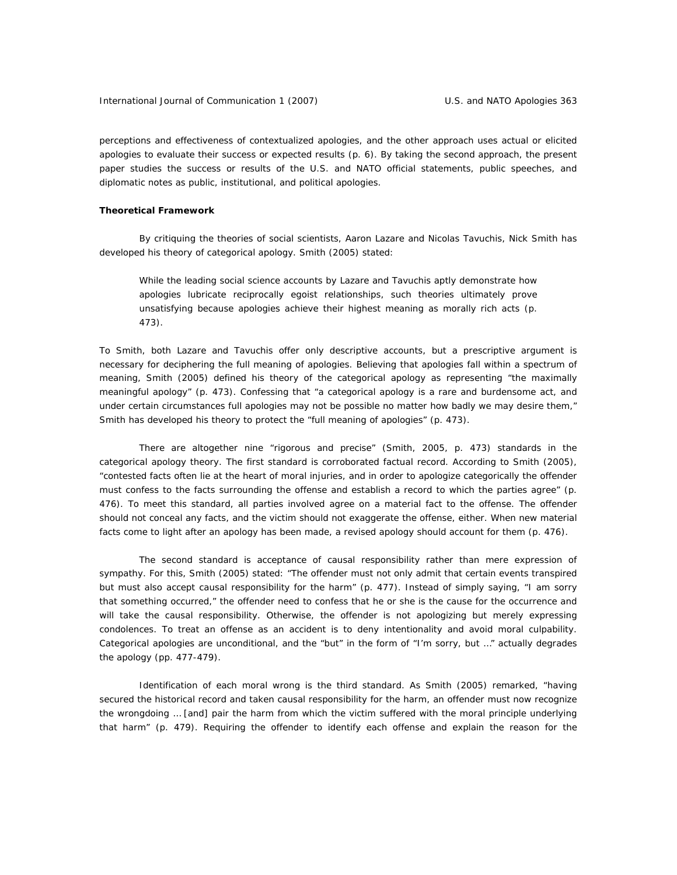perceptions and effectiveness of contextualized apologies, and the other approach uses actual or elicited apologies to evaluate their success or expected results (p. 6). By taking the second approach, the present paper studies the success or results of the U.S. and NATO official statements, public speeches, and diplomatic notes as public, institutional, and political apologies.

#### **Theoretical Framework**

 By critiquing the theories of social scientists, Aaron Lazare and Nicolas Tavuchis, Nick Smith has developed his theory of categorical apology. Smith (2005) stated:

While the leading social science accounts by Lazare and Tavuchis aptly demonstrate how apologies lubricate reciprocally egoist relationships, such theories ultimately prove unsatisfying because apologies achieve their highest meaning as morally rich acts (p. 473).

To Smith, both Lazare and Tavuchis offer only descriptive accounts, but a prescriptive argument is necessary for deciphering the full meaning of apologies. Believing that apologies fall within a spectrum of meaning, Smith (2005) defined his theory of the categorical apology as representing "the maximally meaningful apology" (p. 473). Confessing that "a categorical apology is a rare and burdensome act, and under certain circumstances full apologies may not be possible no matter how badly we may desire them," Smith has developed his theory to protect the "full meaning of apologies" (p. 473).

 There are altogether nine "rigorous and precise" (Smith, 2005, p. 473) standards in the categorical apology theory. The first standard is corroborated factual record. According to Smith (2005), "contested facts often lie at the heart of moral injuries, and in order to apologize categorically the offender must confess to the facts surrounding the offense and establish a record to which the parties agree" (p. 476). To meet this standard, all parties involved agree on a material fact to the offense. The offender should not conceal any facts, and the victim should not exaggerate the offense, either. When new material facts come to light after an apology has been made, a revised apology should account for them (p. 476).

 The second standard is acceptance of causal responsibility rather than mere expression of sympathy. For this, Smith (2005) stated: "The offender must not only admit that certain events transpired but must also accept causal responsibility for the harm" (p. 477). Instead of simply saying, "I am sorry that something occurred," the offender need to confess that he or she is the cause for the occurrence and will take the causal responsibility. Otherwise, the offender is not apologizing but merely expressing condolences. To treat an offense as an accident is to deny intentionality and avoid moral culpability. Categorical apologies are unconditional, and the "but" in the form of "I'm sorry, but …" actually degrades the apology (pp. 477-479).

 Identification of each moral wrong is the third standard. As Smith (2005) remarked, "having secured the historical record and taken causal responsibility for the harm, an offender must now recognize the wrongdoing … [and] pair the harm from which the victim suffered with the moral principle underlying that harm" (p. 479). Requiring the offender to identify each offense and explain the reason for the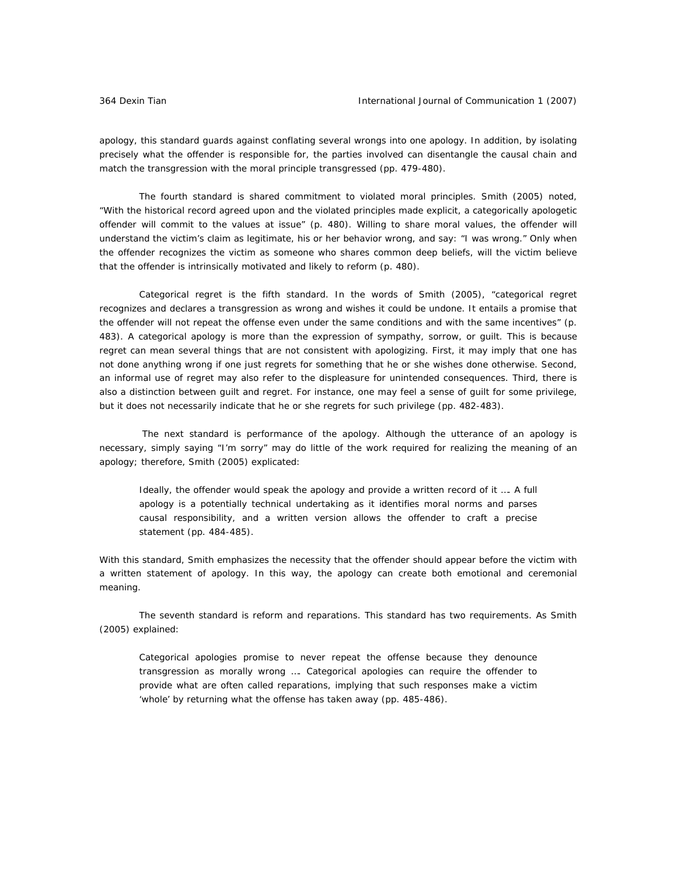apology, this standard guards against conflating several wrongs into one apology. In addition, by isolating precisely what the offender is responsible for, the parties involved can disentangle the causal chain and match the transgression with the moral principle transgressed (pp. 479-480).

 The fourth standard is shared commitment to violated moral principles. Smith (2005) noted, "With the historical record agreed upon and the violated principles made explicit, a categorically apologetic offender will commit to the values at issue" (p. 480). Willing to share moral values, the offender will understand the victim's claim as legitimate, his or her behavior wrong, and say: "I was wrong." Only when the offender recognizes the victim as someone who shares common deep beliefs, will the victim believe that the offender is intrinsically motivated and likely to reform (p. 480).

 Categorical regret is the fifth standard. In the words of Smith (2005), "categorical regret recognizes and declares a transgression as wrong and wishes it could be undone. It entails a promise that the offender will not repeat the offense even under the same conditions and with the same incentives" (p. 483). A categorical apology is more than the expression of sympathy, sorrow, or guilt. This is because regret can mean several things that are not consistent with apologizing. First, it may imply that one has not done anything wrong if one just regrets for something that he or she wishes done otherwise. Second, an informal use of regret may also refer to the displeasure for unintended consequences. Third, there is also a distinction between guilt and regret. For instance, one may feel a sense of guilt for some privilege, but it does not necessarily indicate that he or she regrets for such privilege (pp. 482-483).

 The next standard is performance of the apology. Although the utterance of an apology is necessary, simply saying "I'm sorry" may do little of the work required for realizing the meaning of an apology; therefore, Smith (2005) explicated:

Ideally, the offender would speak the apology and provide a written record of it …. A full apology is a potentially technical undertaking as it identifies moral norms and parses causal responsibility, and a written version allows the offender to craft a precise statement (pp. 484-485).

With this standard, Smith emphasizes the necessity that the offender should appear before the victim with a written statement of apology. In this way, the apology can create both emotional and ceremonial meaning.

 The seventh standard is reform and reparations. This standard has two requirements. As Smith (2005) explained:

Categorical apologies promise to never repeat the offense because they denounce transgression as morally wrong …. Categorical apologies can require the offender to provide what are often called reparations, implying that such responses make a victim 'whole' by returning what the offense has taken away (pp. 485-486).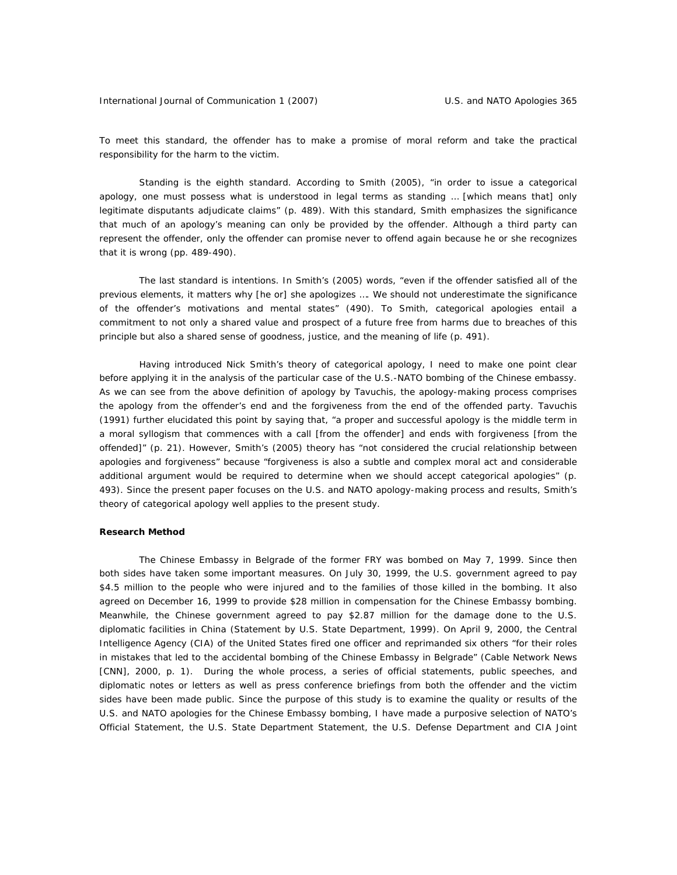To meet this standard, the offender has to make a promise of moral reform and take the practical responsibility for the harm to the victim.

 Standing is the eighth standard. According to Smith (2005), "in order to issue a categorical apology, one must possess what is understood in legal terms as standing … [which means that] only legitimate disputants adjudicate claims" (p. 489). With this standard, Smith emphasizes the significance that much of an apology's meaning can only be provided by the offender. Although a third party can represent the offender, only the offender can promise never to offend again because he or she recognizes that it is wrong (pp. 489-490).

 The last standard is intentions. In Smith's (2005) words, "even if the offender satisfied all of the previous elements, it matters why [he or] she apologizes …. We should not underestimate the significance of the offender's motivations and mental states" (490). To Smith, categorical apologies entail a commitment to not only a shared value and prospect of a future free from harms due to breaches of this principle but also a shared sense of goodness, justice, and the meaning of life (p. 491).

 Having introduced Nick Smith's theory of categorical apology, I need to make one point clear before applying it in the analysis of the particular case of the U.S.-NATO bombing of the Chinese embassy. As we can see from the above definition of apology by Tavuchis, the apology-making process comprises the apology from the offender's end and the forgiveness from the end of the offended party. Tavuchis (1991) further elucidated this point by saying that, "a proper and successful apology is the middle term in a moral syllogism that commences with a call [from the offender] and ends with forgiveness [from the offended]" (p. 21). However, Smith's (2005) theory has "not considered the crucial relationship between apologies and forgiveness" because "forgiveness is also a subtle and complex moral act and considerable additional argument would be required to determine when we should accept categorical apologies" (p. 493). Since the present paper focuses on the U.S. and NATO apology-making process and results, Smith's theory of categorical apology well applies to the present study.

### **Research Method**

 The Chinese Embassy in Belgrade of the former FRY was bombed on May 7, 1999. Since then both sides have taken some important measures. On July 30, 1999, the U.S. government agreed to pay \$4.5 million to the people who were injured and to the families of those killed in the bombing. It also agreed on December 16, 1999 to provide \$28 million in compensation for the Chinese Embassy bombing. Meanwhile, the Chinese government agreed to pay \$2.87 million for the damage done to the U.S. diplomatic facilities in China (Statement by U.S. State Department, 1999). On April 9, 2000, the Central Intelligence Agency (CIA) of the United States fired one officer and reprimanded six others "for their roles in mistakes that led to the accidental bombing of the Chinese Embassy in Belgrade" (Cable Network News [CNN], 2000, p. 1). During the whole process, a series of official statements, public speeches, and diplomatic notes or letters as well as press conference briefings from both the offender and the victim sides have been made public. Since the purpose of this study is to examine the quality or results of the U.S. and NATO apologies for the Chinese Embassy bombing, I have made a purposive selection of NATO's Official Statement, the U.S. State Department Statement, the U.S. Defense Department and CIA Joint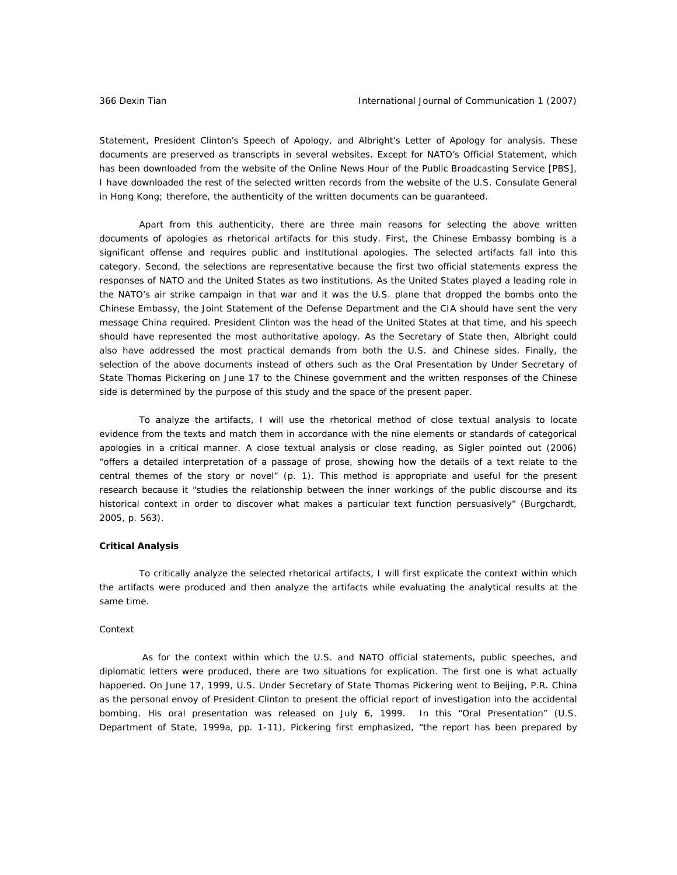Statement, President Clinton's Speech of Apology, and Albright's Letter of Apology for analysis. These documents are preserved as transcripts in several websites. Except for NATO's Official Statement, which has been downloaded from the website of the Online News Hour of the Public Broadcasting Service [PBS], I have downloaded the rest of the selected written records from the website of the U.S. Consulate General in Hong Kong; therefore, the authenticity of the written documents can be guaranteed.

 Apart from this authenticity, there are three main reasons for selecting the above written documents of apologies as rhetorical artifacts for this study. First, the Chinese Embassy bombing is a significant offense and requires public and institutional apologies. The selected artifacts fall into this category. Second, the selections are representative because the first two official statements express the responses of NATO and the United States as two institutions. As the United States played a leading role in the NATO's air strike campaign in that war and it was the U.S. plane that dropped the bombs onto the Chinese Embassy, the Joint Statement of the Defense Department and the CIA should have sent the very message China required. President Clinton was the head of the United States at that time, and his speech should have represented the most authoritative apology. As the Secretary of State then, Albright could also have addressed the most practical demands from both the U.S. and Chinese sides. Finally, the selection of the above documents instead of others such as the Oral Presentation by Under Secretary of State Thomas Pickering on June 17 to the Chinese government and the written responses of the Chinese side is determined by the purpose of this study and the space of the present paper.

 To analyze the artifacts, I will use the rhetorical method of close textual analysis to locate evidence from the texts and match them in accordance with the nine elements or standards of categorical apologies in a critical manner. A close textual analysis or close reading, as Sigler pointed out (2006) "offers a detailed interpretation of a passage of prose, showing how the details of a text relate to the central themes of the story or novel" (p. 1). This method is appropriate and useful for the present research because it "studies the relationship between the inner workings of the public discourse and its historical context in order to discover what makes a particular text function persuasively" (Burgchardt, 2005, p. 563).

### **Critical Analysis**

 To critically analyze the selected rhetorical artifacts, I will first explicate the context within which the artifacts were produced and then analyze the artifacts while evaluating the analytical results at the same time.

#### *Context*

 As for the context within which the U.S. and NATO official statements, public speeches, and diplomatic letters were produced, there are two situations for explication. The first one is what actually happened. On June 17, 1999, U.S. Under Secretary of State Thomas Pickering went to Beijing, P.R. China as the personal envoy of President Clinton to present the official report of investigation into the accidental bombing. His oral presentation was released on July 6, 1999. In this "Oral Presentation" (U.S. Department of State, 1999a, pp. 1-11), Pickering first emphasized, "the report has been prepared by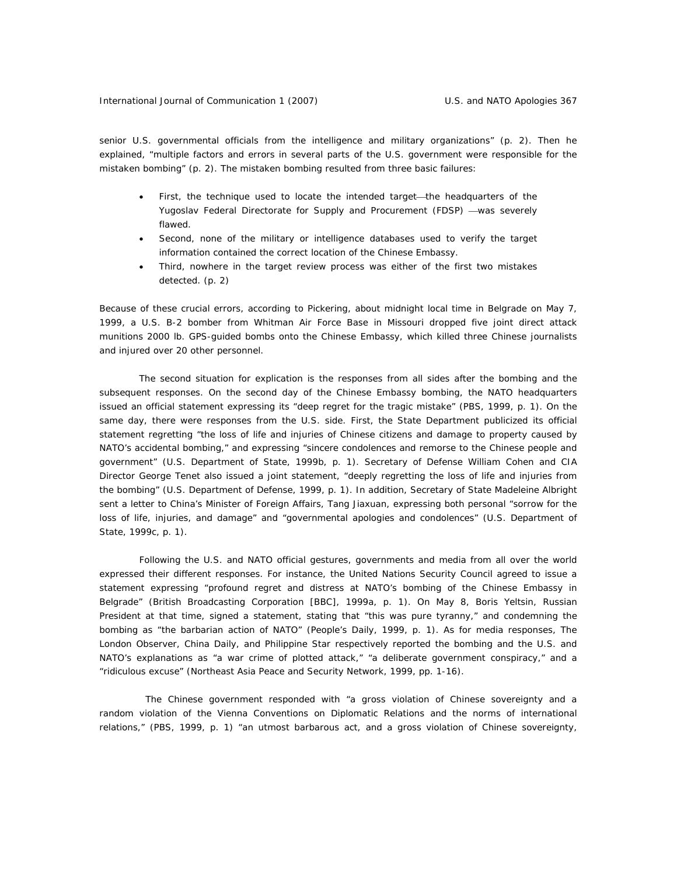senior U.S. governmental officials from the intelligence and military organizations" (p. 2). Then he explained, "multiple factors and errors in several parts of the U.S. government were responsible for the mistaken bombing" (p. 2). The mistaken bombing resulted from three basic failures:

- First, the technique used to locate the intended target—the headquarters of the Yugoslav Federal Directorate for Supply and Procurement (FDSP) —was severely flawed.
- Second, none of the military or intelligence databases used to verify the target information contained the correct location of the Chinese Embassy.
- Third, nowhere in the target review process was either of the first two mistakes detected. (p. 2)

Because of these crucial errors, according to Pickering, about midnight local time in Belgrade on May 7, 1999, a U.S. B-2 bomber from Whitman Air Force Base in Missouri dropped five joint direct attack munitions 2000 lb. GPS-guided bombs onto the Chinese Embassy, which killed three Chinese journalists and injured over 20 other personnel.

 The second situation for explication is the responses from all sides after the bombing and the subsequent responses. On the second day of the Chinese Embassy bombing, the NATO headquarters issued an official statement expressing its "deep regret for the tragic mistake" (PBS, 1999, p. 1). On the same day, there were responses from the U.S. side. First, the State Department publicized its official statement regretting "the loss of life and injuries of Chinese citizens and damage to property caused by NATO's accidental bombing," and expressing "sincere condolences and remorse to the Chinese people and government" (U.S. Department of State, 1999b, p. 1). Secretary of Defense William Cohen and CIA Director George Tenet also issued a joint statement, "deeply regretting the loss of life and injuries from the bombing" (U.S. Department of Defense, 1999, p. 1). In addition, Secretary of State Madeleine Albright sent a letter to China's Minister of Foreign Affairs, Tang Jiaxuan, expressing both personal "sorrow for the loss of life, injuries, and damage" and "governmental apologies and condolences" (U.S. Department of State, 1999c, p. 1).

Following the U.S. and NATO official gestures, governments and media from all over the world expressed their different responses. For instance, the United Nations Security Council agreed to issue a statement expressing "profound regret and distress at NATO's bombing of the Chinese Embassy in Belgrade" (British Broadcasting Corporation [BBC], 1999a, p. 1). On May 8, Boris Yeltsin, Russian President at that time, signed a statement, stating that "this was pure tyranny," and condemning the bombing as "the barbarian action of NATO" (*People's Daily*, 1999, p. 1). As for media responses, *The London Observer*, *China Daily*, and *Philippine Star* respectively reported the bombing and the U.S. and NATO's explanations as "a war crime of plotted attack," "a deliberate government conspiracy," and a "ridiculous excuse" (Northeast Asia Peace and Security Network, 1999, pp. 1-16).

 The Chinese government responded with "a gross violation of Chinese sovereignty and a random violation of the *Vienna Conventions on Diplomatic Relations* and the norms of international relations," (PBS, 1999, p. 1) "an utmost barbarous act, and a gross violation of Chinese sovereignty,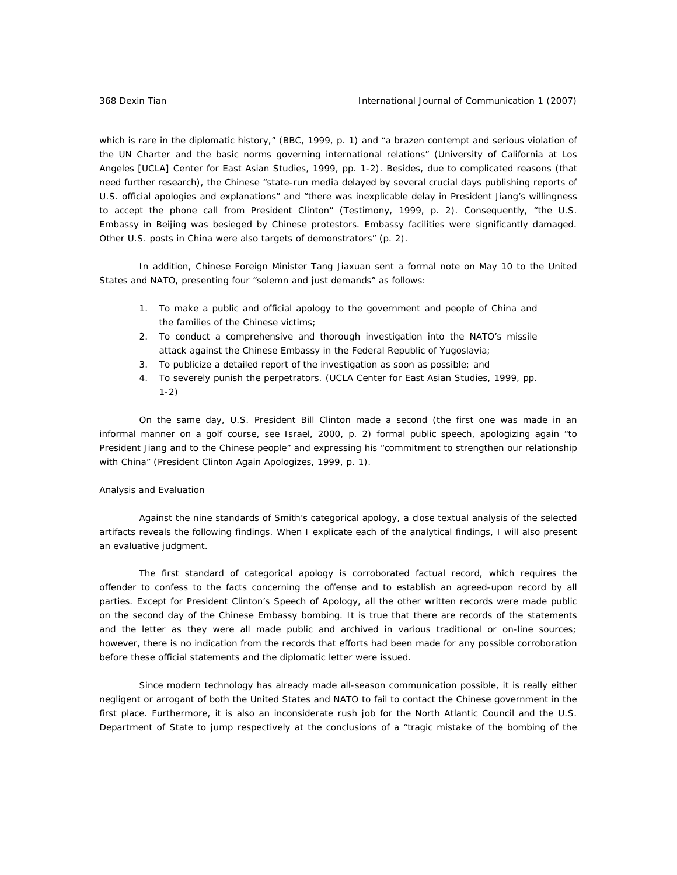which is rare in the diplomatic history," (BBC, 1999, p. 1) and "a brazen contempt and serious violation of the *UN Charter* and the basic norms governing international relations" (University of California at Los Angeles [UCLA] Center for East Asian Studies, 1999, pp. 1-2). Besides, due to complicated reasons (that need further research), the Chinese "state-run media delayed by several crucial days publishing reports of U.S. official apologies and explanations" and "there was inexplicable delay in President Jiang's willingness to accept the phone call from President Clinton" (Testimony, 1999, p. 2). Consequently, "the U.S. Embassy in Beijing was besieged by Chinese protestors. Embassy facilities were significantly damaged. Other U.S. posts in China were also targets of demonstrators" (p. 2).

In addition, Chinese Foreign Minister Tang Jiaxuan sent a formal note on May 10 to the United States and NATO, presenting four "solemn and just demands" as follows:

- 1. To make a public and official apology to the government and people of China and the families of the Chinese victims;
- 2. To conduct a comprehensive and thorough investigation into the NATO's missile attack against the Chinese Embassy in the Federal Republic of Yugoslavia;
- 3. To publicize a detailed report of the investigation as soon as possible; and
- 4. To severely punish the perpetrators. (UCLA Center for East Asian Studies, 1999, pp. 1-2)

On the same day, U.S. President Bill Clinton made a second (the first one was made in an informal manner on a golf course, see Israel, 2000, p. 2) formal public speech, apologizing again "to President Jiang and to the Chinese people" and expressing his "commitment to strengthen our relationship with China" (President Clinton Again Apologizes, 1999, p. 1).

#### *Analysis and Evaluation*

 Against the nine standards of Smith's categorical apology, a close textual analysis of the selected artifacts reveals the following findings. When I explicate each of the analytical findings, I will also present an evaluative judgment.

The first standard of categorical apology is corroborated factual record, which requires the offender to confess to the facts concerning the offense and to establish an agreed-upon record by all parties. Except for President Clinton's Speech of Apology, all the other written records were made public on the second day of the Chinese Embassy bombing. It is true that there are records of the statements and the letter as they were all made public and archived in various traditional or on-line sources; however, there is no indication from the records that efforts had been made for any possible corroboration before these official statements and the diplomatic letter were issued.

Since modern technology has already made all-season communication possible, it is really either negligent or arrogant of both the United States and NATO to fail to contact the Chinese government in the first place. Furthermore, it is also an inconsiderate rush job for the North Atlantic Council and the U.S. Department of State to jump respectively at the conclusions of a "tragic mistake of the bombing of the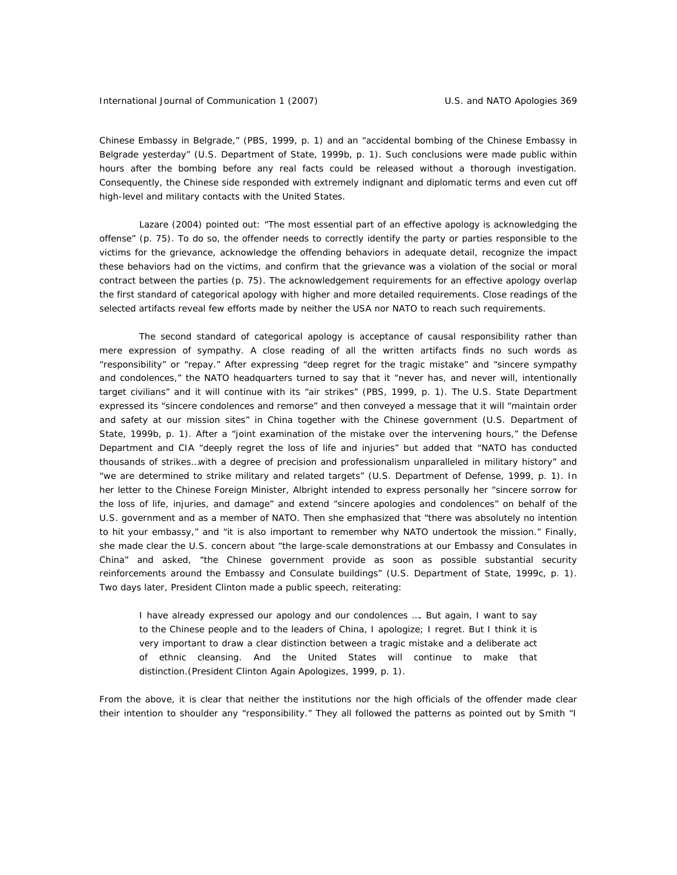Chinese Embassy in Belgrade," (PBS, 1999, p. 1) and an "accidental bombing of the Chinese Embassy in Belgrade yesterday" (U.S. Department of State, 1999b, p. 1). Such conclusions were made public within hours after the bombing before any real facts could be released without a thorough investigation. Consequently, the Chinese side responded with extremely indignant and diplomatic terms and even cut off high-level and military contacts with the United States.

Lazare (2004) pointed out: "The most essential part of an effective apology is acknowledging the offense" (p. 75). To do so, the offender needs to correctly identify the party or parties responsible to the victims for the grievance, acknowledge the offending behaviors in adequate detail, recognize the impact these behaviors had on the victims, and confirm that the grievance was a violation of the social or moral contract between the parties (p. 75). The acknowledgement requirements for an effective apology overlap the first standard of categorical apology with higher and more detailed requirements. Close readings of the selected artifacts reveal few efforts made by neither the USA nor NATO to reach such requirements.

The second standard of categorical apology is acceptance of causal responsibility rather than mere expression of sympathy. A close reading of all the written artifacts finds no such words as "responsibility" or "repay." After expressing "deep regret for the tragic mistake" and "sincere sympathy and condolences," the NATO headquarters turned to say that it "never has, and never will, intentionally target civilians" and it will continue with its "air strikes" (PBS, 1999, p. 1). The U.S. State Department expressed its "sincere condolences and remorse" and then conveyed a message that it will "maintain order and safety at our mission sites" in China together with the Chinese government (U.S. Department of State, 1999b, p. 1). After a "joint examination of the mistake over the intervening hours," the Defense Department and CIA "deeply regret the loss of life and injuries" but added that "NATO has conducted thousands of strikes…with a degree of precision and professionalism unparalleled in military history" and "we are determined to strike military and related targets" (U.S. Department of Defense, 1999, p. 1). In her letter to the Chinese Foreign Minister, Albright intended to express personally her "sincere sorrow for the loss of life, injuries, and damage" and extend "sincere apologies and condolences" on behalf of the U.S. government and as a member of NATO. Then she emphasized that "there was absolutely no intention to hit your embassy," and "it is also important to remember why NATO undertook the mission." Finally, she made clear the U.S. concern about "the large-scale demonstrations at our Embassy and Consulates in China" and asked, "the Chinese government provide as soon as possible substantial security reinforcements around the Embassy and Consulate buildings" (U.S. Department of State, 1999c, p. 1). Two days later, President Clinton made a public speech, reiterating:

I have already expressed our apology and our condolences …. But again, I want to say to the Chinese people and to the leaders of China, I apologize; I regret. But I think it is very important to draw a clear distinction between a tragic mistake and a deliberate act of ethnic cleansing. And the United States will continue to make that distinction.(President Clinton Again Apologizes, 1999, p. 1).

From the above, it is clear that neither the institutions nor the high officials of the offender made clear their intention to shoulder any "responsibility." They all followed the patterns as pointed out by Smith "I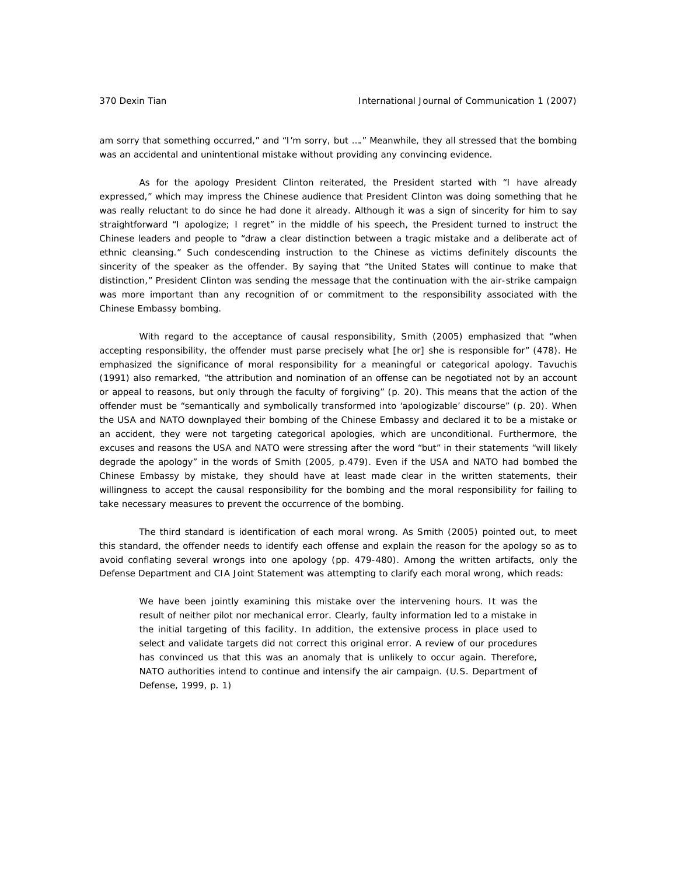am sorry that something occurred," and "I'm sorry, but …." Meanwhile, they all stressed that the bombing was an accidental and unintentional mistake without providing any convincing evidence.

As for the apology President Clinton reiterated, the President started with "I have already expressed," which may impress the Chinese audience that President Clinton was doing something that he was really reluctant to do since he had done it already. Although it was a sign of sincerity for him to say straightforward "I apologize; I regret" in the middle of his speech, the President turned to instruct the Chinese leaders and people to "draw a clear distinction between a tragic mistake and a deliberate act of ethnic cleansing." Such condescending instruction to the Chinese as victims definitely discounts the sincerity of the speaker as the offender. By saying that "the United States will continue to make that distinction," President Clinton was sending the message that the continuation with the air-strike campaign was more important than any recognition of or commitment to the responsibility associated with the Chinese Embassy bombing.

 With regard to the acceptance of causal responsibility, Smith (2005) emphasized that "when accepting responsibility, the offender must parse precisely what [he or] she is responsible for" (478). He emphasized the significance of moral responsibility for a meaningful or categorical apology. Tavuchis (1991) also remarked, "the attribution and nomination of an offense can be negotiated not by an account or appeal to reasons, but only through the faculty of forgiving" (p. 20). This means that the action of the offender must be "semantically and symbolically transformed into 'apologizable' discourse" (p. 20). When the USA and NATO downplayed their bombing of the Chinese Embassy and declared it to be a mistake or an accident, they were not targeting categorical apologies, which are unconditional. Furthermore, the excuses and reasons the USA and NATO were stressing after the word "but" in their statements "will likely degrade the apology" in the words of Smith (2005, p.479). Even if the USA and NATO had bombed the Chinese Embassy by mistake, they should have at least made clear in the written statements, their willingness to accept the causal responsibility for the bombing and the moral responsibility for failing to take necessary measures to prevent the occurrence of the bombing.

 The third standard is identification of each moral wrong. As Smith (2005) pointed out, to meet this standard, the offender needs to identify each offense and explain the reason for the apology so as to avoid conflating several wrongs into one apology (pp. 479-480). Among the written artifacts, only the Defense Department and CIA Joint Statement was attempting to clarify each moral wrong, which reads:

We have been jointly examining this mistake over the intervening hours. It was the result of neither pilot nor mechanical error. Clearly, faulty information led to a mistake in the initial targeting of this facility. In addition, the extensive process in place used to select and validate targets did not correct this original error. A review of our procedures has convinced us that this was an anomaly that is unlikely to occur again. Therefore, NATO authorities intend to continue and intensify the air campaign. (U.S. Department of Defense, 1999, p. 1)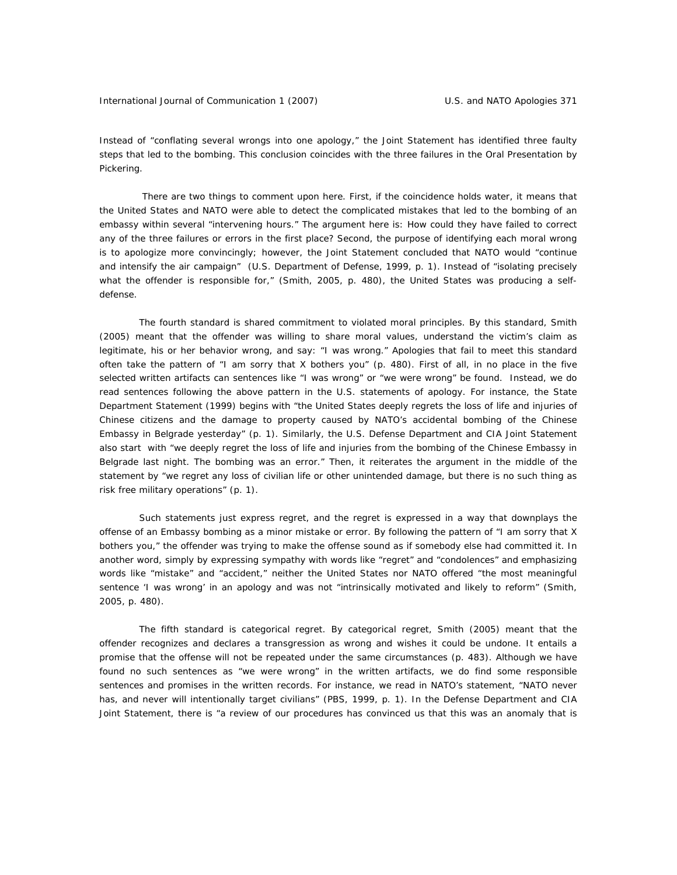Instead of "conflating several wrongs into one apology," the Joint Statement has identified three faulty steps that led to the bombing. This conclusion coincides with the three failures in the Oral Presentation by Pickering.

 There are two things to comment upon here. First, if the coincidence holds water, it means that the United States and NATO were able to detect the complicated mistakes that led to the bombing of an embassy within several "intervening hours." The argument here is: How could they have failed to correct any of the three failures or errors in the first place? Second, the purpose of identifying each moral wrong is to apologize more convincingly; however, the Joint Statement concluded that NATO would "continue and intensify the air campaign" (U.S. Department of Defense, 1999, p. 1). Instead of "isolating precisely what the offender is responsible for," (Smith, 2005, p. 480), the United States was producing a selfdefense.

 The fourth standard is shared commitment to violated moral principles. By this standard, Smith (2005) meant that the offender was willing to share moral values, understand the victim's claim as legitimate, his or her behavior wrong, and say: "I was wrong." Apologies that fail to meet this standard often take the pattern of "I am sorry that X bothers you" (p. 480). First of all, in no place in the five selected written artifacts can sentences like "I was wrong" or "we were wrong" be found. Instead, we do read sentences following the above pattern in the U.S. statements of apology. For instance, the State Department Statement (1999) begins with "the United States deeply regrets the loss of life and injuries of Chinese citizens and the damage to property caused by NATO's accidental bombing of the Chinese Embassy in Belgrade yesterday" (p. 1). Similarly, the U.S. Defense Department and CIA Joint Statement also start with "we deeply regret the loss of life and injuries from the bombing of the Chinese Embassy in Belgrade last night. The bombing was an error." Then, it reiterates the argument in the middle of the statement by "we regret any loss of civilian life or other unintended damage, but there is no such thing as risk free military operations" (p. 1).

Such statements just express regret, and the regret is expressed in a way that downplays the offense of an Embassy bombing as a minor mistake or error. By following the pattern of "I am sorry that X bothers you," the offender was trying to make the offense sound as if somebody else had committed it. In another word, simply by expressing sympathy with words like "regret" and "condolences" and emphasizing words like "mistake" and "accident," neither the United States nor NATO offered "the most meaningful sentence 'I was wrong' in an apology and was not "intrinsically motivated and likely to reform" (Smith, 2005, p. 480).

 The fifth standard is categorical regret. By categorical regret, Smith (2005) meant that the offender recognizes and declares a transgression as wrong and wishes it could be undone. It entails a promise that the offense will not be repeated under the same circumstances (p. 483). Although we have found no such sentences as "we were wrong" in the written artifacts, we do find some responsible sentences and promises in the written records. For instance, we read in NATO's statement, "NATO never has, and never will intentionally target civilians" (PBS, 1999, p. 1). In the Defense Department and CIA Joint Statement, there is "a review of our procedures has convinced us that this was an anomaly that is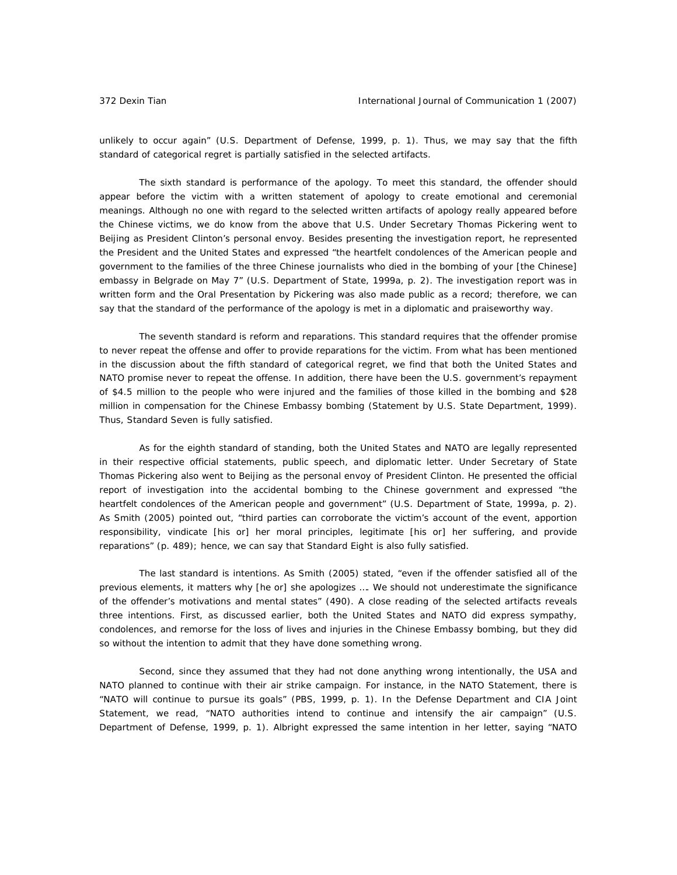unlikely to occur again" (U.S. Department of Defense, 1999, p. 1). Thus, we may say that the fifth standard of categorical regret is partially satisfied in the selected artifacts.

 The sixth standard is performance of the apology. To meet this standard, the offender should appear before the victim with a written statement of apology to create emotional and ceremonial meanings. Although no one with regard to the selected written artifacts of apology really appeared before the Chinese victims, we do know from the above that U.S. Under Secretary Thomas Pickering went to Beijing as President Clinton's personal envoy. Besides presenting the investigation report, he represented the President and the United States and expressed "the heartfelt condolences of the American people and government to the families of the three Chinese journalists who died in the bombing of your [the Chinese] embassy in Belgrade on May 7" (U.S. Department of State, 1999a, p. 2). The investigation report was in written form and the Oral Presentation by Pickering was also made public as a record; therefore, we can say that the standard of the performance of the apology is met in a diplomatic and praiseworthy way.

 The seventh standard is reform and reparations. This standard requires that the offender promise to never repeat the offense and offer to provide reparations for the victim. From what has been mentioned in the discussion about the fifth standard of categorical regret, we find that both the United States and NATO promise never to repeat the offense. In addition, there have been the U.S. government's repayment of \$4.5 million to the people who were injured and the families of those killed in the bombing and \$28 million in compensation for the Chinese Embassy bombing (Statement by U.S. State Department, 1999). Thus, Standard Seven is fully satisfied.

 As for the eighth standard of standing, both the United States and NATO are legally represented in their respective official statements, public speech, and diplomatic letter. Under Secretary of State Thomas Pickering also went to Beijing as the personal envoy of President Clinton. He presented the official report of investigation into the accidental bombing to the Chinese government and expressed "the heartfelt condolences of the American people and government" (U.S. Department of State, 1999a, p. 2). As Smith (2005) pointed out, "third parties can corroborate the victim's account of the event, apportion responsibility, vindicate [his or] her moral principles, legitimate [his or] her suffering, and provide reparations" (p. 489); hence, we can say that Standard Eight is also fully satisfied.

The last standard is intentions. As Smith (2005) stated, "even if the offender satisfied all of the previous elements, it matters why [he or] she apologizes …. We should not underestimate the significance of the offender's motivations and mental states" (490). A close reading of the selected artifacts reveals three intentions. First, as discussed earlier, both the United States and NATO did express sympathy, condolences, and remorse for the loss of lives and injuries in the Chinese Embassy bombing, but they did so without the intention to admit that they have done something wrong.

Second, since they assumed that they had not done anything wrong intentionally, the USA and NATO planned to continue with their air strike campaign. For instance, in the NATO Statement, there is "NATO will continue to pursue its goals" (PBS, 1999, p. 1). In the Defense Department and CIA Joint Statement, we read, "NATO authorities intend to continue and intensify the air campaign" (U.S. Department of Defense, 1999, p. 1). Albright expressed the same intention in her letter, saying "NATO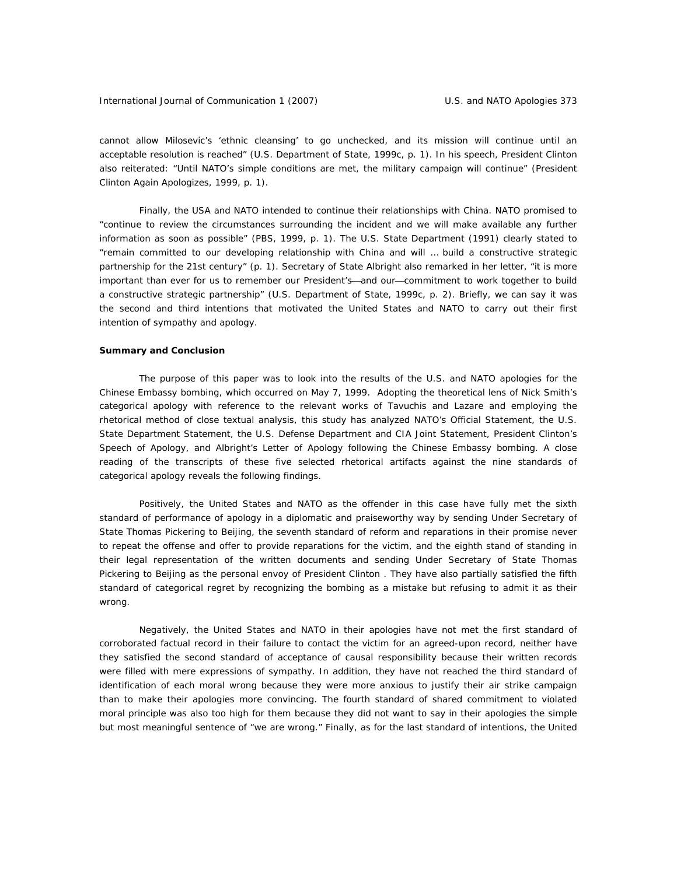cannot allow Milosevic's 'ethnic cleansing' to go unchecked, and its mission will continue until an acceptable resolution is reached" (U.S. Department of State, 1999c, p. 1). In his speech, President Clinton also reiterated: "Until NATO's simple conditions are met, the military campaign will continue" (President Clinton Again Apologizes, 1999, p. 1).

Finally, the USA and NATO intended to continue their relationships with China. NATO promised to "continue to review the circumstances surrounding the incident and we will make available any further information as soon as possible" (PBS, 1999, p. 1). The U.S. State Department (1991) clearly stated to "remain committed to our developing relationship with China and will … build a constructive strategic partnership for the 21st century" (p. 1). Secretary of State Albright also remarked in her letter, "it is more important than ever for us to remember our President's—and our—commitment to work together to build a constructive strategic partnership" (U.S. Department of State, 1999c, p. 2). Briefly, we can say it was the second and third intentions that motivated the United States and NATO to carry out their first intention of sympathy and apology.

#### **Summary and Conclusion**

The purpose of this paper was to look into the results of the U.S. and NATO apologies for the Chinese Embassy bombing, which occurred on May 7, 1999. Adopting the theoretical lens of Nick Smith's categorical apology with reference to the relevant works of Tavuchis and Lazare and employing the rhetorical method of close textual analysis, this study has analyzed NATO's Official Statement, the U.S. State Department Statement, the U.S. Defense Department and CIA Joint Statement, President Clinton's Speech of Apology, and Albright's Letter of Apology following the Chinese Embassy bombing. A close reading of the transcripts of these five selected rhetorical artifacts against the nine standards of categorical apology reveals the following findings.

Positively, the United States and NATO as the offender in this case have fully met the sixth standard of performance of apology in a diplomatic and praiseworthy way by sending Under Secretary of State Thomas Pickering to Beijing, the seventh standard of reform and reparations in their promise never to repeat the offense and offer to provide reparations for the victim, and the eighth stand of standing in their legal representation of the written documents and sending Under Secretary of State Thomas Pickering to Beijing as the personal envoy of President Clinton . They have also partially satisfied the fifth standard of categorical regret by recognizing the bombing as a mistake but refusing to admit it as their wrong.

Negatively, the United States and NATO in their apologies have not met the first standard of corroborated factual record in their failure to contact the victim for an agreed-upon record, neither have they satisfied the second standard of acceptance of causal responsibility because their written records were filled with mere expressions of sympathy. In addition, they have not reached the third standard of identification of each moral wrong because they were more anxious to justify their air strike campaign than to make their apologies more convincing. The fourth standard of shared commitment to violated moral principle was also too high for them because they did not want to say in their apologies the simple but most meaningful sentence of "we are wrong." Finally, as for the last standard of intentions, the United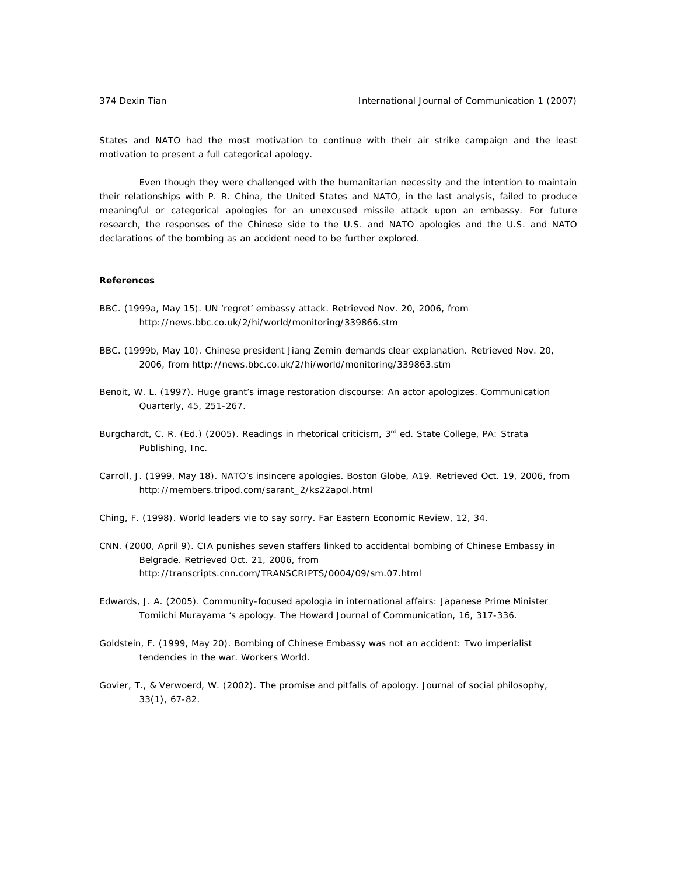States and NATO had the most motivation to continue with their air strike campaign and the least motivation to present a full categorical apology.

Even though they were challenged with the humanitarian necessity and the intention to maintain their relationships with P. R. China, the United States and NATO, in the last analysis, failed to produce meaningful or categorical apologies for an unexcused missile attack upon an embassy. For future research, the responses of the Chinese side to the U.S. and NATO apologies and the U.S. and NATO declarations of the bombing as an accident need to be further explored.

### **References**

- BBC. (1999a, May 15). UN 'regret' embassy attack. Retrieved Nov. 20, 2006, from http://news.bbc.co.uk/2/hi/world/monitoring/339866.stm
- BBC. (1999b, May 10). Chinese president Jiang Zemin demands clear explanation. Retrieved Nov. 20, 2006, from http://news.bbc.co.uk/2/hi/world/monitoring/339863.stm
- Benoit, W. L. (1997). Huge grant's image restoration discourse: An actor apologizes. *Communication Quarterly, 45*, 251-267.
- Burgchardt, C. R. (Ed.) (2005). *Readings in rhetorical criticism*, 3<sup>rd</sup> ed. State College, PA: Strata Publishing, Inc.
- Carroll, J. (1999, May 18). NATO's insincere apologies. *Boston Globe*, A19. Retrieved Oct. 19, 2006, from http://members.tripod.com/sarant\_2/ks22apol.html
- Ching, F. (1998). World leaders vie to say sorry. *Far Eastern Economic Review, 12*, 34.
- CNN. (2000, April 9). CIA punishes seven staffers linked to accidental bombing of Chinese Embassy in Belgrade. Retrieved Oct. 21, 2006, from http://transcripts.cnn.com/TRANSCRIPTS/0004/09/sm.07.html
- Edwards, J. A. (2005). Community-focused apologia in international affairs: Japanese Prime Minister Tomiichi Murayama 's apology. *The Howard Journal of Communication, 16*, 317-336.
- Goldstein, F. (1999, May 20). Bombing of Chinese Embassy was not an accident: Two imperialist tendencies in the war. *Workers World*.
- Govier, T., & Verwoerd, W. (2002). The promise and pitfalls of apology. *Journal of social philosophy, 33*(1), 67-82.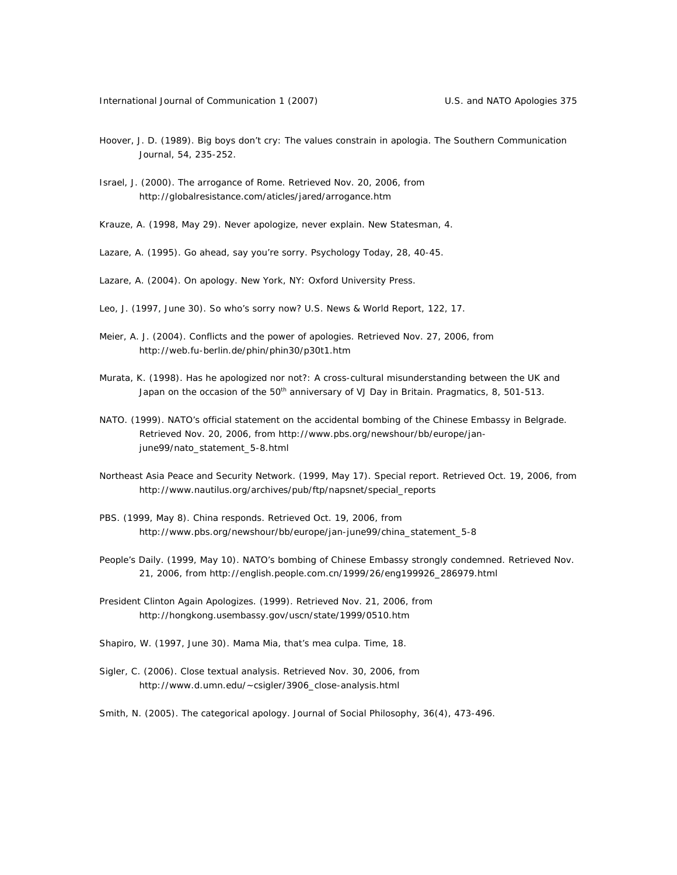- Hoover, J. D. (1989). Big boys don't cry: The values constrain in apologia. *The Southern Communication Journal, 54*, 235-252.
- Israel, J. (2000). The arrogance of Rome. Retrieved Nov. 20, 2006, from http://globalresistance.com/aticles/jared/arrogance.htm
- Krauze, A. (1998, May 29). Never apologize, never explain. *New Statesman*, 4.
- Lazare, A. (1995). Go ahead, say you're sorry. *Psychology Today*, 28, 40-45.
- Lazare, A. (2004). *On apology*. New York, NY: Oxford University Press.
- Leo, J. (1997, June 30). So who's sorry now? *U.S. News & World Report, 122*, 17.
- Meier, A. J. (2004). Conflicts and the power of apologies. Retrieved Nov. 27, 2006, from http://web.fu-berlin.de/phin/phin30/p30t1.htm
- Murata, K. (1998). Has he apologized nor not?: A cross-cultural misunderstanding between the UK and Japan on the occasion of the 50<sup>th</sup> anniversary of VJ Day in Britain. *Pragmatics, 8*, 501-513.
- NATO. (1999). NATO's official statement on the accidental bombing of the Chinese Embassy in Belgrade. Retrieved Nov. 20, 2006, from http://www.pbs.org/newshour/bb/europe/janjune99/nato\_statement\_5-8.html
- Northeast Asia Peace and Security Network. (1999, May 17). Special report. Retrieved Oct. 19, 2006, from http://www.nautilus.org/archives/pub/ftp/napsnet/special\_reports
- PBS. (1999, May 8). China responds. Retrieved Oct. 19, 2006, from http://www.pbs.org/newshour/bb/europe/jan-june99/china\_statement\_5-8
- *People's Daily*. (1999, May 10). NATO's bombing of Chinese Embassy strongly condemned. Retrieved Nov. 21, 2006, from http://english.people.com.cn/1999/26/eng199926\_286979.html
- President Clinton Again Apologizes. (1999). Retrieved Nov. 21, 2006, from http://hongkong.usembassy.gov/uscn/state/1999/0510.htm
- Shapiro, W. (1997, June 30). Mama Mia, that's mea culpa. *Time*, *18*.
- Sigler, C. (2006). Close textual analysis. Retrieved Nov. 30, 2006, from http://www.d.umn.edu/~csigler/3906\_close-analysis.html
- Smith, N. (2005). The categorical apology. *Journal of Social Philosophy, 36*(4), 473-496.